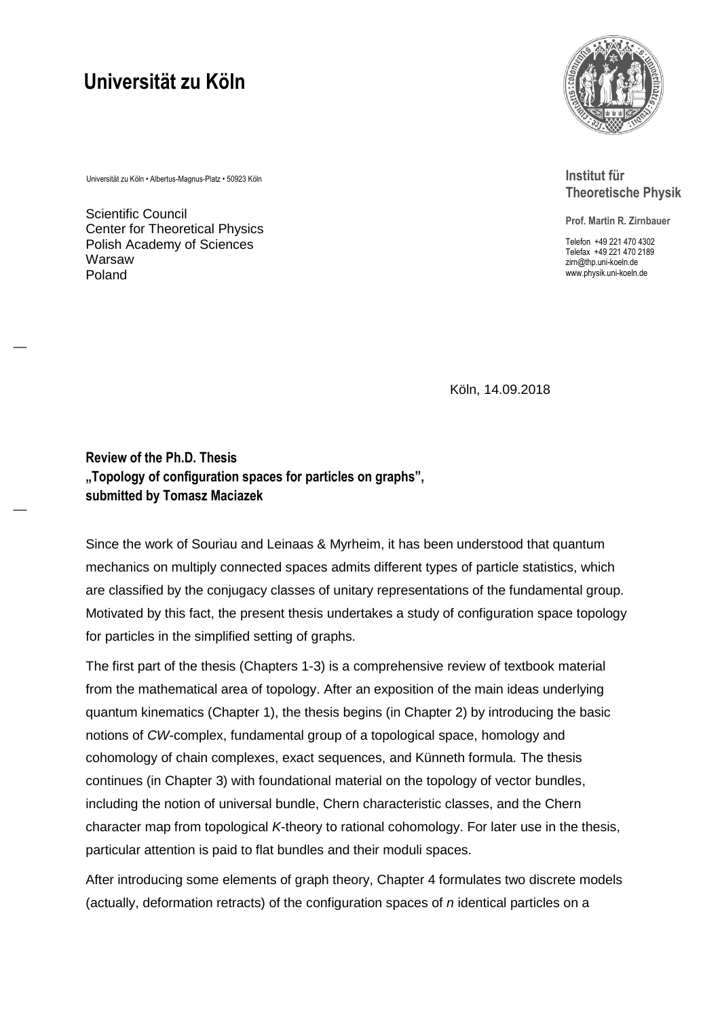## **Universität zu Köln**

Universität zu Köln • Albertus-Magnus-Platz • 50923 Köln

Scientific Council Center for Theoretical Physics Polish Academy of Sciences Warsaw Poland

―

―



**Institut für Theoretische Physik**

**Prof. Martin R. Zirnbauer**

Telefon +49 221 470 4302 Telefax +49 221 470 2189 zirn@thp.uni-koeln.de www.physik.uni-koeln.de

Köln, 14.09.2018

**Review of the Ph.D. Thesis "Topology of configuration spaces for particles on graphs", submitted by Tomasz Maciazek**

Since the work of Souriau and Leinaas & Myrheim, it has been understood that quantum mechanics on multiply connected spaces admits different types of particle statistics, which are classified by the conjugacy classes of unitary representations of the fundamental group. Motivated by this fact, the present thesis undertakes a study of configuration space topology for particles in the simplified setting of graphs.

The first part of the thesis (Chapters 1-3) is a comprehensive review of textbook material from the mathematical area of topology. After an exposition of the main ideas underlying quantum kinematics (Chapter 1), the thesis begins (in Chapter 2) by introducing the basic notions of *CW*-complex, fundamental group of a topological space, homology and cohomology of chain complexes, exact sequences, and Künneth formula. The thesis continues (in Chapter 3) with foundational material on the topology of vector bundles, including the notion of universal bundle, Chern characteristic classes, and the Chern character map from topological *K*-theory to rational cohomology. For later use in the thesis, particular attention is paid to flat bundles and their moduli spaces.

After introducing some elements of graph theory, Chapter 4 formulates two discrete models (actually, deformation retracts) of the configuration spaces of *n* identical particles on a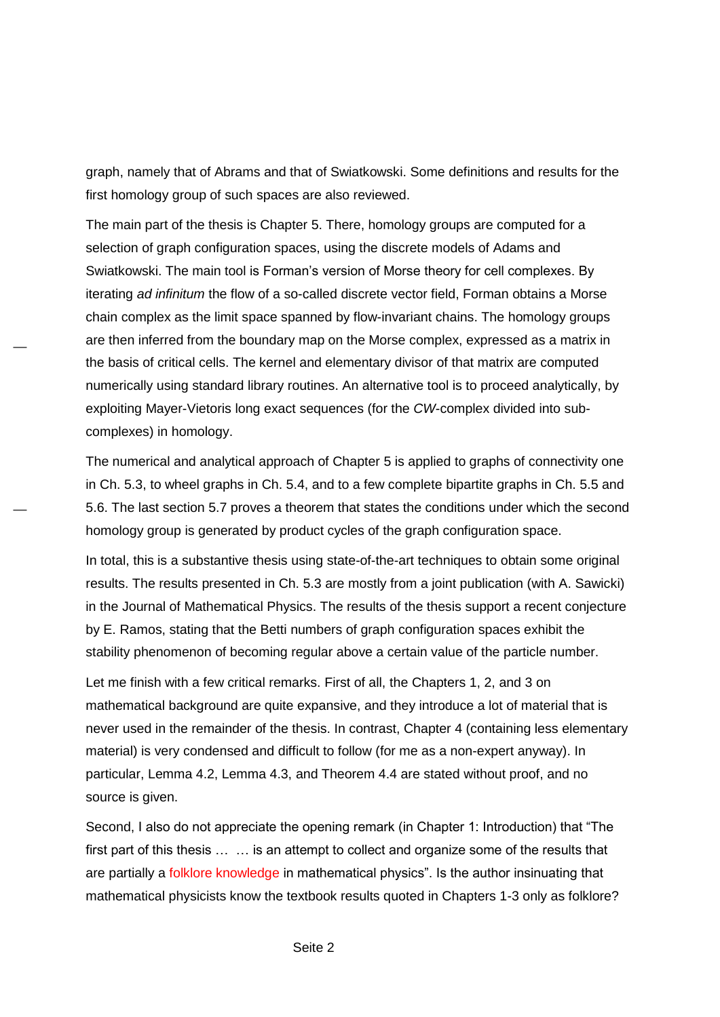graph, namely that of Abrams and that of Swiatkowski. Some definitions and results for the first homology group of such spaces are also reviewed.

The main part of the thesis is Chapter 5. There, homology groups are computed for a selection of graph configuration spaces, using the discrete models of Adams and Swiatkowski. The main tool is Forman's version of Morse theory for cell complexes. By iterating *ad infinitum* the flow of a so-called discrete vector field, Forman obtains a Morse chain complex as the limit space spanned by flow-invariant chains. The homology groups are then inferred from the boundary map on the Morse complex, expressed as a matrix in the basis of critical cells. The kernel and elementary divisor of that matrix are computed numerically using standard library routines. An alternative tool is to proceed analytically, by exploiting Mayer-Vietoris long exact sequences (for the *CW*-complex divided into subcomplexes) in homology.

―

―

The numerical and analytical approach of Chapter 5 is applied to graphs of connectivity one in Ch. 5.3, to wheel graphs in Ch. 5.4, and to a few complete bipartite graphs in Ch. 5.5 and 5.6. The last section 5.7 proves a theorem that states the conditions under which the second homology group is generated by product cycles of the graph configuration space.

In total, this is a substantive thesis using state-of-the-art techniques to obtain some original results. The results presented in Ch. 5.3 are mostly from a joint publication (with A. Sawicki) in the Journal of Mathematical Physics. The results of the thesis support a recent conjecture by E. Ramos, stating that the Betti numbers of graph configuration spaces exhibit the stability phenomenon of becoming regular above a certain value of the particle number.

Let me finish with a few critical remarks. First of all, the Chapters 1, 2, and 3 on mathematical background are quite expansive, and they introduce a lot of material that is never used in the remainder of the thesis. In contrast, Chapter 4 (containing less elementary material) is very condensed and difficult to follow (for me as a non-expert anyway). In particular, Lemma 4.2, Lemma 4.3, and Theorem 4.4 are stated without proof, and no source is given.

Second, I also do not appreciate the opening remark (in Chapter 1: Introduction) that "The first part of this thesis … … is an attempt to collect and organize some of the results that are partially a folklore knowledge in mathematical physics". Is the author insinuating that mathematical physicists know the textbook results quoted in Chapters 1-3 only as folklore?